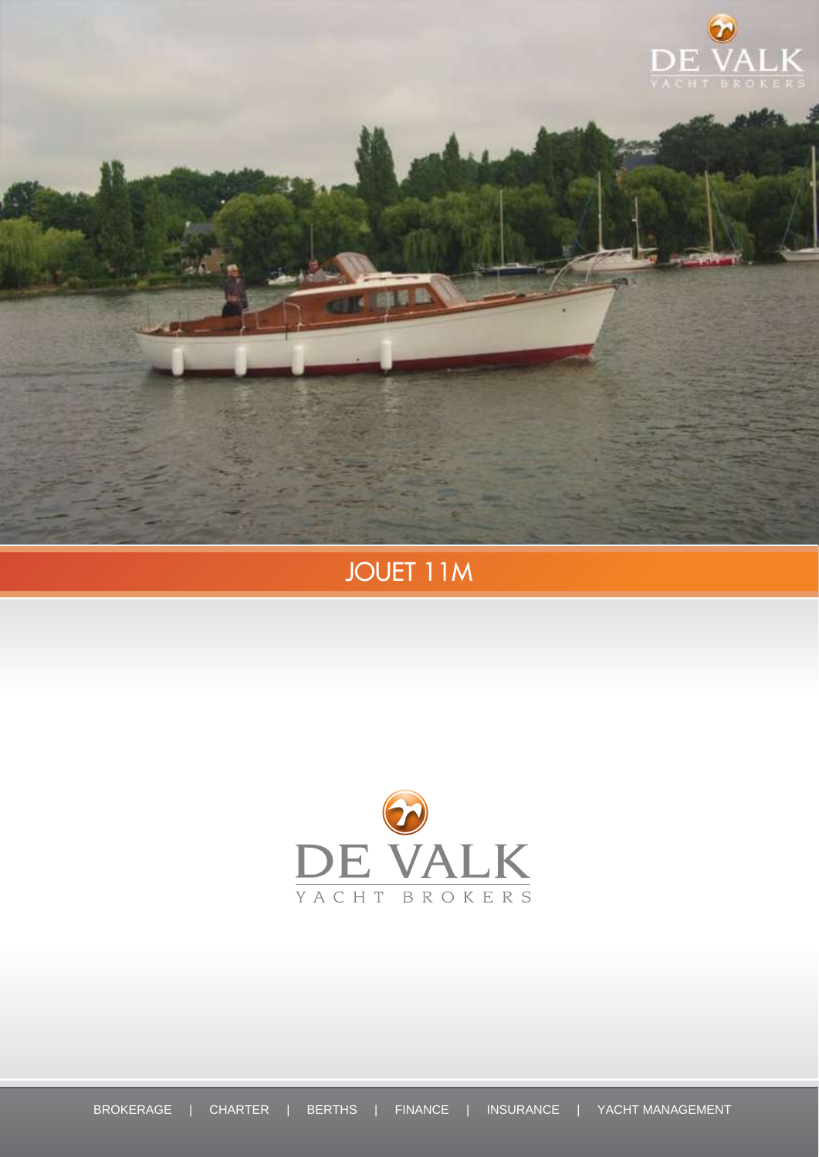

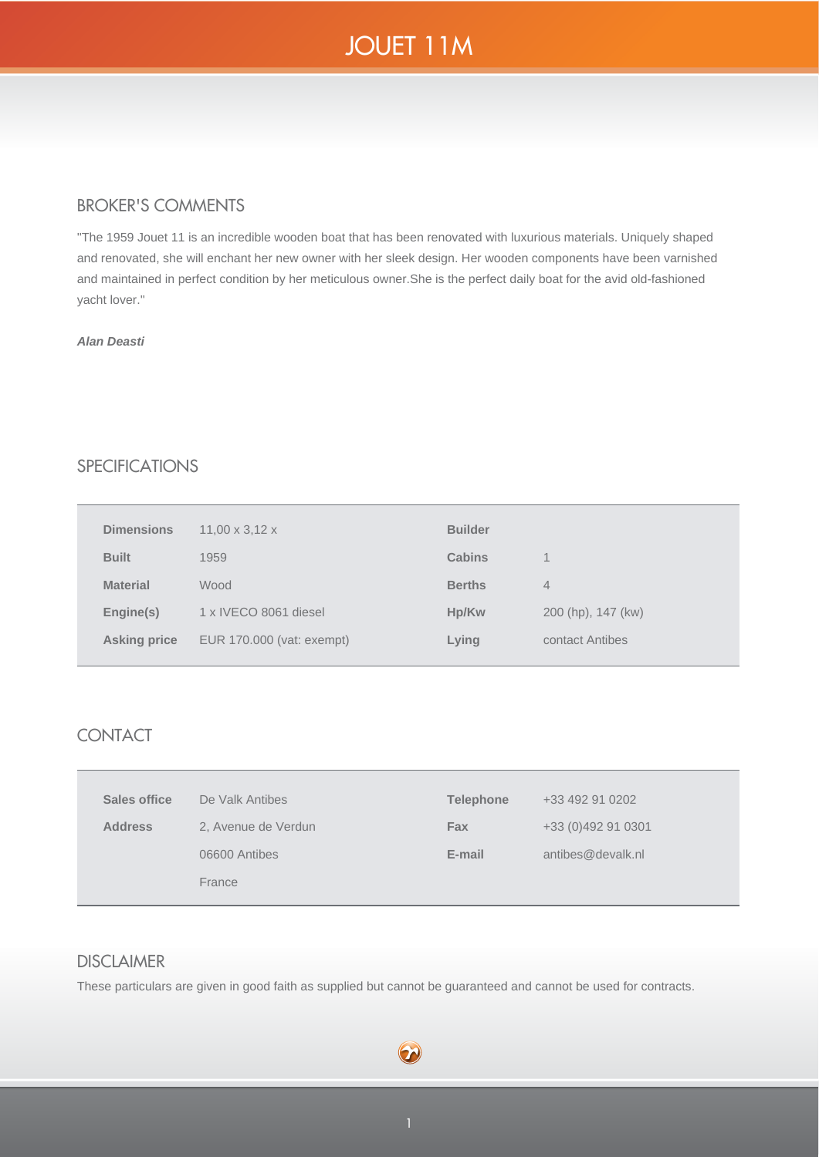

#### **BROKER'S COMMENTS**

''The 1959 Jouet 11 is an incredible wooden boat that has been renovated with luxurious materials. Uniquely shaped and renovated, she will enchant her new owner with her sleek design. Her wooden components have been varnished and maintained in perfect condition by her meticulous owner.She is the perfect daily boat for the avid old-fashioned yacht lover.''

#### **Alan Deasti**

#### **SPECIFICATIONS**

| <b>Dimensions</b>   | $11,00 \times 3,12 \times$ | <b>Builder</b> |                    |
|---------------------|----------------------------|----------------|--------------------|
| <b>Built</b>        | 1959                       | <b>Cabins</b>  | 1                  |
| <b>Material</b>     | Wood                       | <b>Berths</b>  | 4                  |
| Engine(s)           | 1 x IVECO 8061 diesel      | Hp/Kw          | 200 (hp), 147 (kw) |
| <b>Asking price</b> | EUR 170.000 (vat: exempt)  | Lying          | contact Antibes    |
|                     |                            |                |                    |

### **CONTACT**

| Sales office   | De Valk Antibes     | <b>Telephone</b> | +33 492 91 0202    |
|----------------|---------------------|------------------|--------------------|
| <b>Address</b> | 2, Avenue de Verdun | <b>Fax</b>       | +33 (0)492 91 0301 |
|                | 06600 Antibes       | E-mail           | antibes@devalk.nl  |
|                | France              |                  |                    |

#### **DISCLAIMER**

These particulars are given in good faith as supplied but cannot be guaranteed and cannot be used for contracts.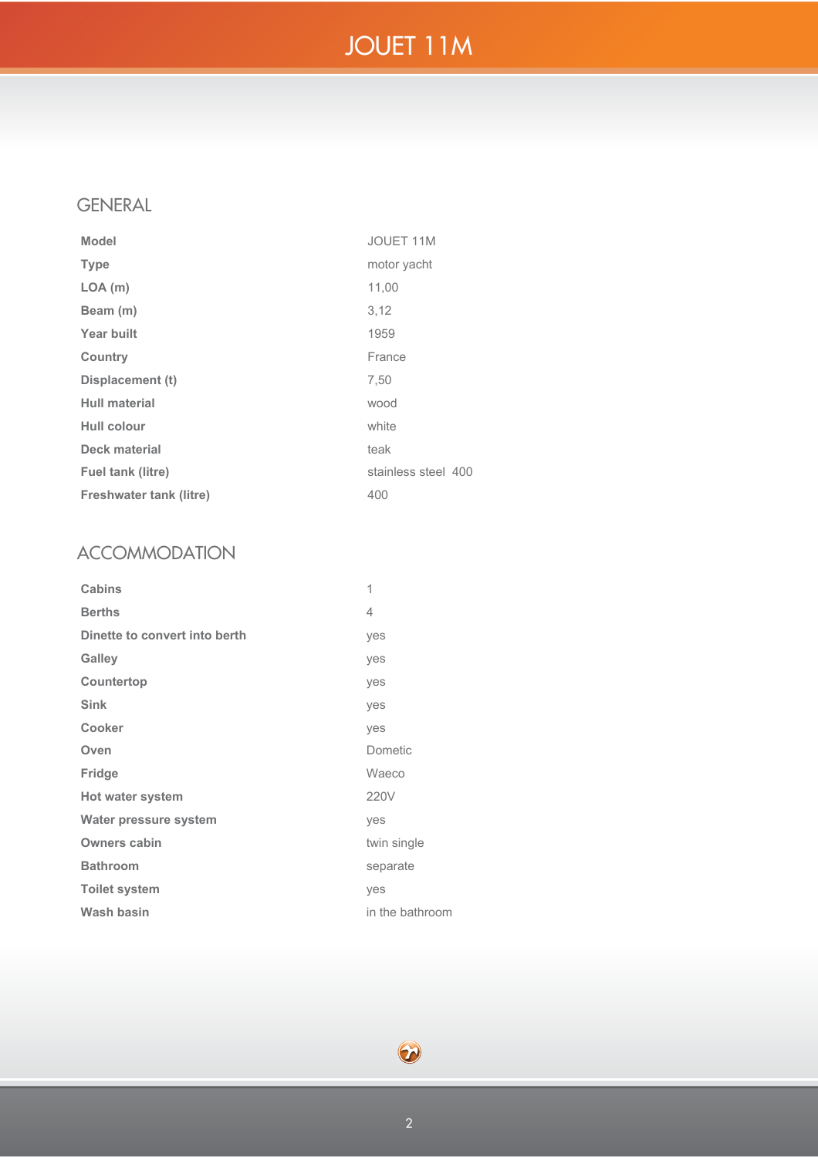## **GENERAL**

| <b>Model</b>                   | JOUET 11M           |
|--------------------------------|---------------------|
| <b>Type</b>                    | motor yacht         |
| $LOA$ (m)                      | 11,00               |
| Beam (m)                       | 3,12                |
| <b>Year built</b>              | 1959                |
| Country                        | France              |
| Displacement (t)               | 7,50                |
| <b>Hull material</b>           | wood                |
| Hull colour                    | white               |
| Deck material                  | teak                |
| Fuel tank (litre)              | stainless steel 400 |
| <b>Freshwater tank (litre)</b> | 400                 |

## **ACCOMMODATION**

| Cabins                        | 1               |
|-------------------------------|-----------------|
| <b>Berths</b>                 | 4               |
| Dinette to convert into berth | yes             |
| Galley                        | yes             |
| Countertop                    | yes             |
| <b>Sink</b>                   | yes             |
| Cooker                        | yes             |
| Oven                          | Dometic         |
| Fridge                        | Waeco           |
| <b>Hot water system</b>       | 220V            |
| Water pressure system         | yes             |
| Owners cabin                  | twin single     |
| <b>Bathroom</b>               | separate        |
| <b>Toilet system</b>          | yes             |
| Wash basin                    | in the bathroom |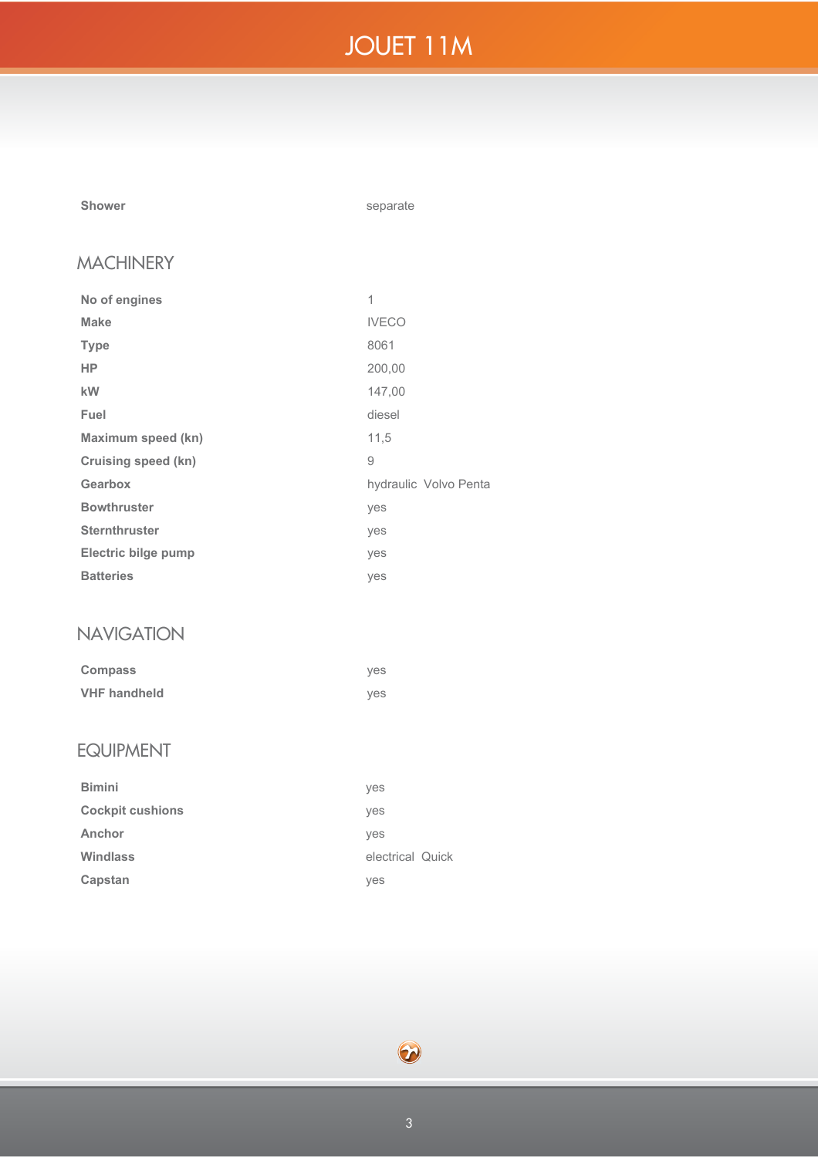**Shower Shower separate** 

## **MACHINERY**

| No of engines              | 1                     |
|----------------------------|-----------------------|
| <b>Make</b>                | <b>IVECO</b>          |
| <b>Type</b>                | 8061                  |
| HP                         | 200,00                |
| kW                         | 147,00                |
| Fuel                       | diesel                |
| Maximum speed (kn)         | 11,5                  |
| <b>Cruising speed (kn)</b> | 9                     |
| Gearbox                    | hydraulic Volvo Penta |
| <b>Bowthruster</b>         | yes                   |
| <b>Sternthruster</b>       | yes                   |
| <b>Electric bilge pump</b> | yes                   |
| <b>Batteries</b>           | yes                   |

## **NAVIGATION**

| <b>Compass</b>      | yes |
|---------------------|-----|
| <b>VHF</b> handheld | ves |

## **EQUIPMENT**

| <b>Bimini</b>           | yes              |
|-------------------------|------------------|
| <b>Cockpit cushions</b> | ves              |
| <b>Anchor</b>           | ves              |
| <b>Windlass</b>         | electrical Quick |
| Capstan                 | yes              |

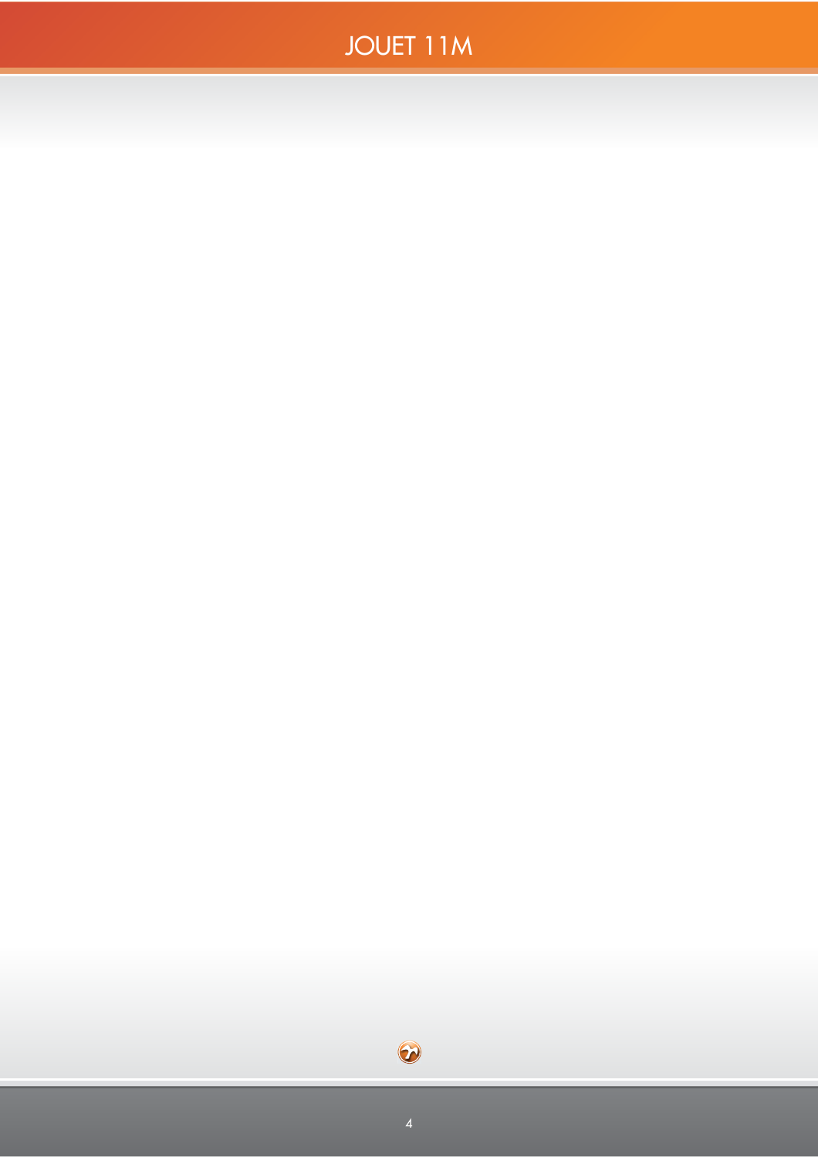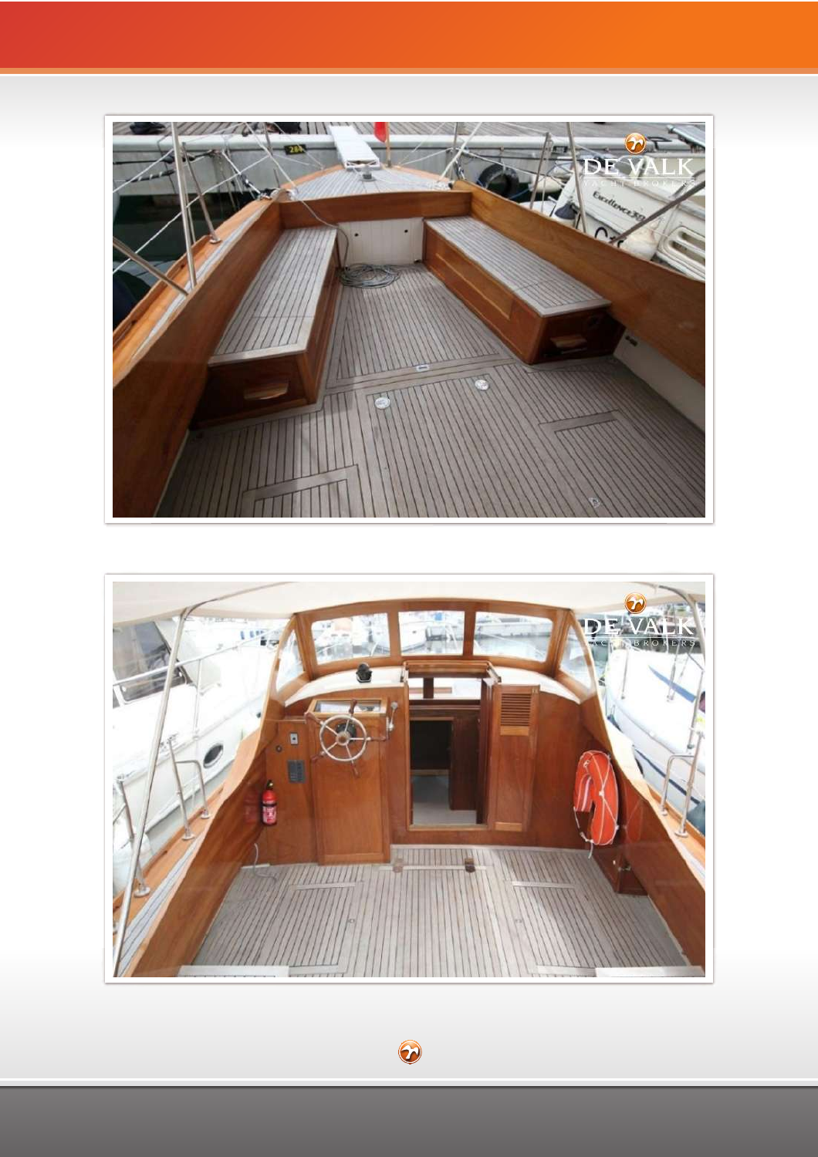# $-28(7)$  0



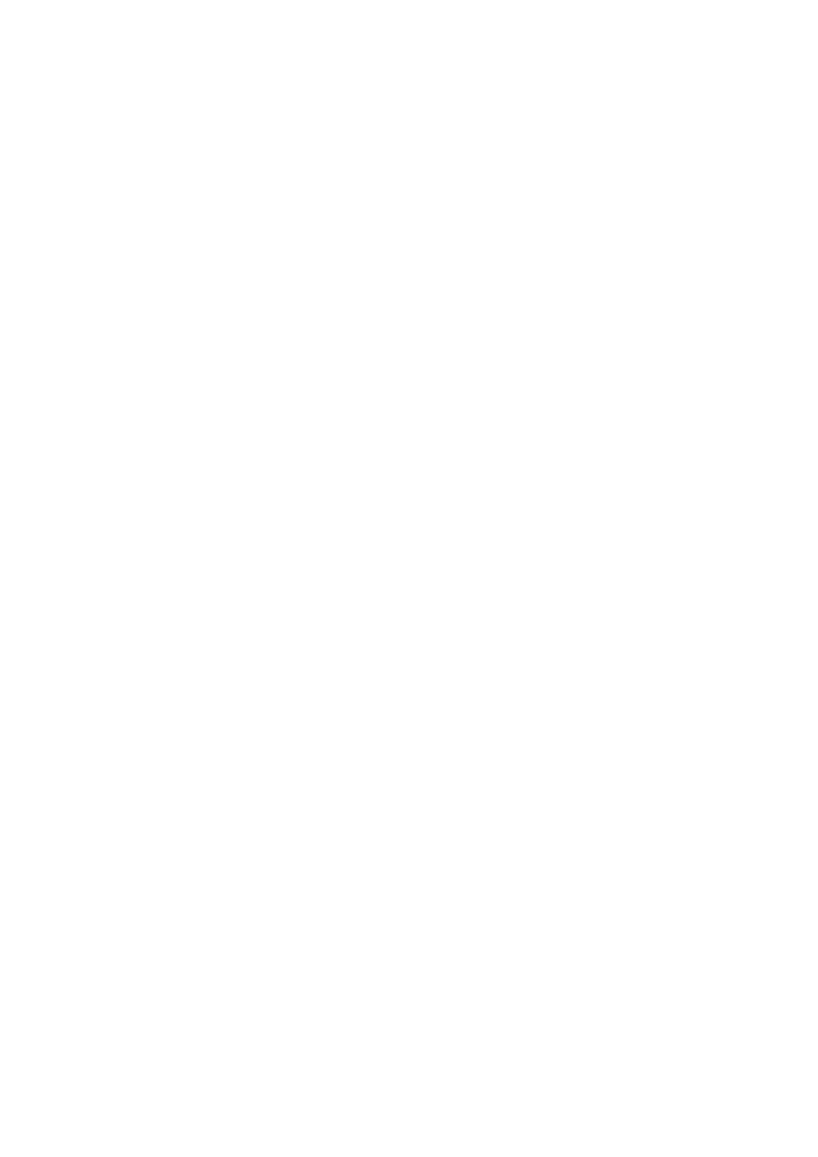| ---- |  |
|------|--|
|      |  |
|      |  |
|      |  |
|      |  |
|      |  |
|      |  |
|      |  |
|      |  |
|      |  |
|      |  |
|      |  |
|      |  |
|      |  |
|      |  |
|      |  |
|      |  |
|      |  |
|      |  |
|      |  |
|      |  |
|      |  |
|      |  |
|      |  |
|      |  |
|      |  |
|      |  |
|      |  |
|      |  |
|      |  |
|      |  |
|      |  |
|      |  |
|      |  |
|      |  |
|      |  |
|      |  |
|      |  |
|      |  |
|      |  |
|      |  |
|      |  |
|      |  |
|      |  |
|      |  |
|      |  |
|      |  |
|      |  |
|      |  |
|      |  |
|      |  |
|      |  |
|      |  |
|      |  |
|      |  |
|      |  |
|      |  |
|      |  |
|      |  |

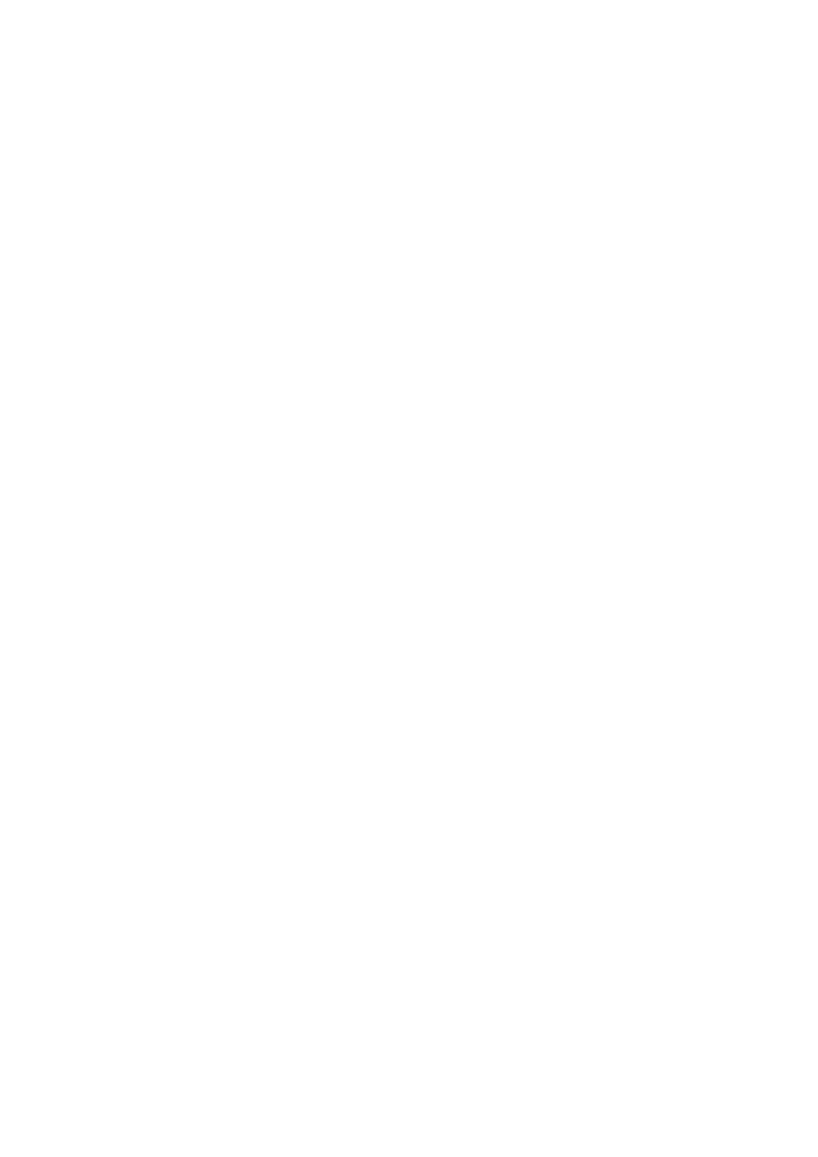| ---- |  |
|------|--|
|      |  |
|      |  |
|      |  |
|      |  |
|      |  |
|      |  |
|      |  |
|      |  |
|      |  |
|      |  |
|      |  |
|      |  |
|      |  |
|      |  |
|      |  |
|      |  |
|      |  |
|      |  |
|      |  |
|      |  |
|      |  |
|      |  |
|      |  |
|      |  |
|      |  |
|      |  |
|      |  |
|      |  |
|      |  |
|      |  |
|      |  |
|      |  |
|      |  |
|      |  |
|      |  |
|      |  |
|      |  |
|      |  |
|      |  |
|      |  |
|      |  |
|      |  |
|      |  |
|      |  |
|      |  |
|      |  |
|      |  |
|      |  |
|      |  |
|      |  |
|      |  |
|      |  |
|      |  |
|      |  |
|      |  |
|      |  |
|      |  |
|      |  |

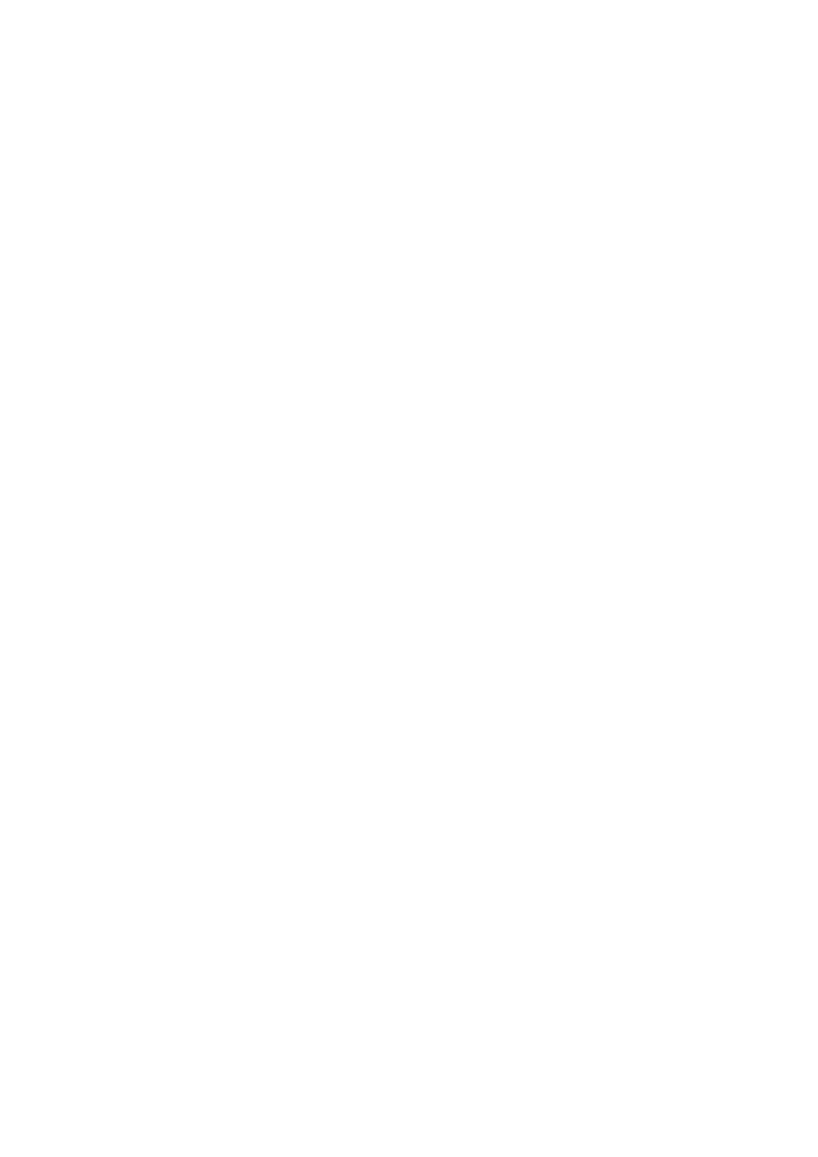| ---- |  |
|------|--|
|      |  |
|      |  |
|      |  |
|      |  |
|      |  |
|      |  |
|      |  |
|      |  |
|      |  |
|      |  |
|      |  |
|      |  |
|      |  |
|      |  |
|      |  |
|      |  |
|      |  |
|      |  |
|      |  |
|      |  |
|      |  |
|      |  |
|      |  |
|      |  |
|      |  |
|      |  |
|      |  |
|      |  |
|      |  |
|      |  |
|      |  |
|      |  |
|      |  |
|      |  |
|      |  |
|      |  |
|      |  |
|      |  |
|      |  |
|      |  |
|      |  |
|      |  |
|      |  |
|      |  |
|      |  |
|      |  |
|      |  |
|      |  |
|      |  |
|      |  |
|      |  |
|      |  |
|      |  |
|      |  |
|      |  |
|      |  |
|      |  |
|      |  |

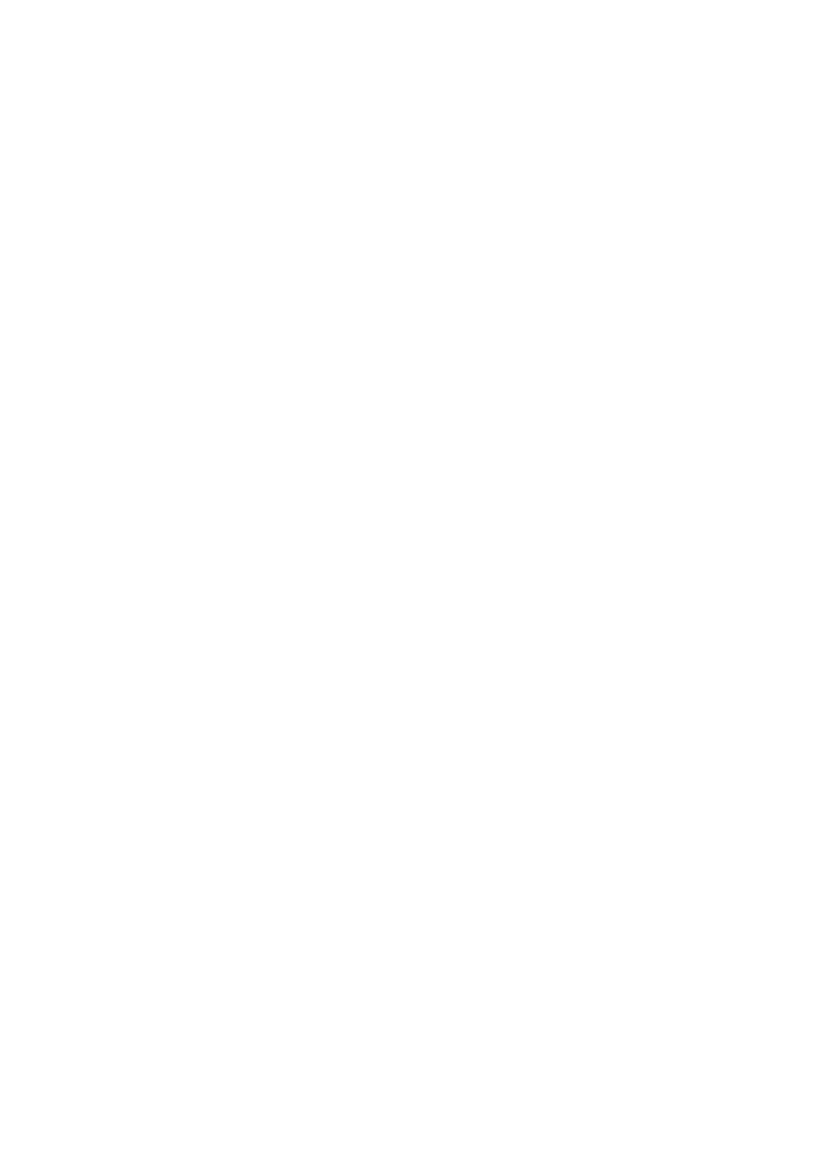| ---- |  |
|------|--|
|      |  |
|      |  |
|      |  |
|      |  |
|      |  |
|      |  |
|      |  |
|      |  |
|      |  |
|      |  |
|      |  |
|      |  |
|      |  |
|      |  |
|      |  |
|      |  |
|      |  |
|      |  |
|      |  |
|      |  |
|      |  |
|      |  |
|      |  |
|      |  |
|      |  |
|      |  |
|      |  |
|      |  |
|      |  |
|      |  |
|      |  |
|      |  |
|      |  |
|      |  |
|      |  |
|      |  |
|      |  |
|      |  |
|      |  |
|      |  |
|      |  |
|      |  |
|      |  |
|      |  |
|      |  |
|      |  |
|      |  |
|      |  |
|      |  |
|      |  |
|      |  |
|      |  |
|      |  |
|      |  |
|      |  |
|      |  |
|      |  |
|      |  |

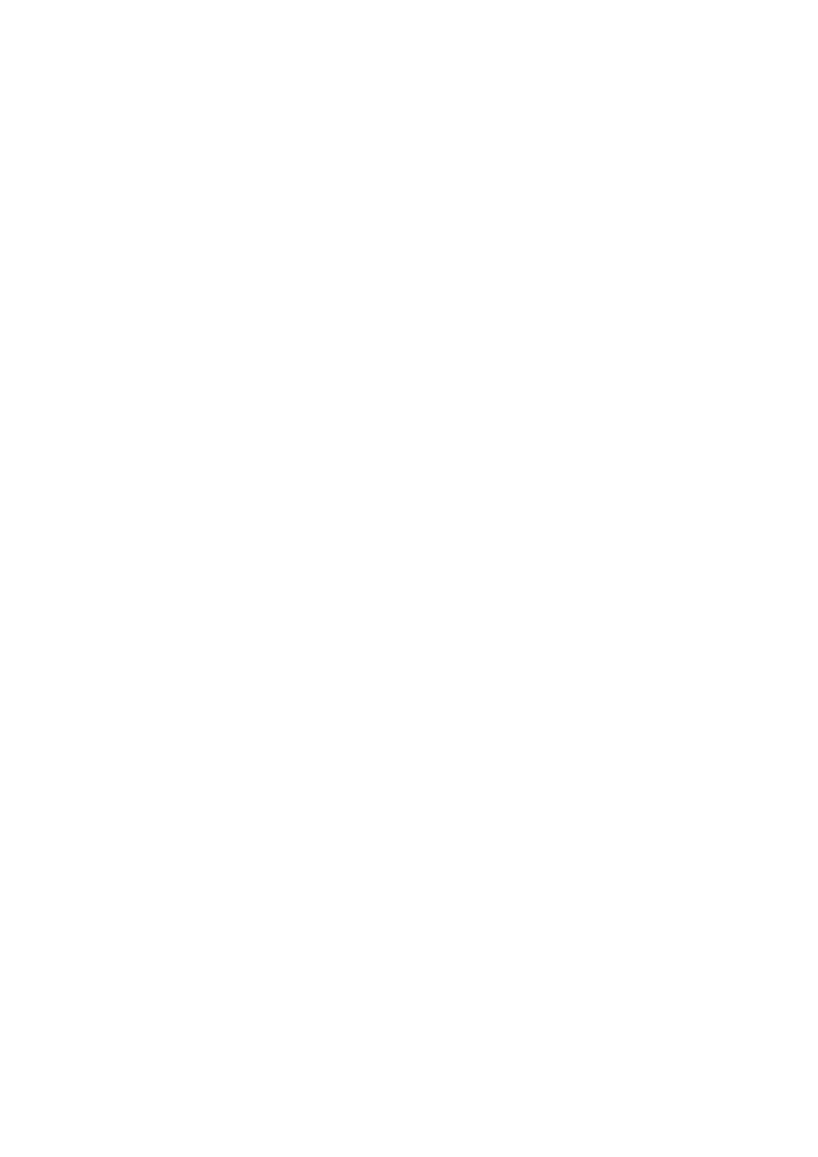| ---- |  |
|------|--|
|      |  |
|      |  |
|      |  |
|      |  |
|      |  |
|      |  |
|      |  |
|      |  |
|      |  |
|      |  |
|      |  |
|      |  |
|      |  |
|      |  |
|      |  |
|      |  |
|      |  |
|      |  |
|      |  |
|      |  |
|      |  |
|      |  |
|      |  |
|      |  |
|      |  |
|      |  |
|      |  |
|      |  |
|      |  |
|      |  |
|      |  |
|      |  |
|      |  |
|      |  |
|      |  |
|      |  |
|      |  |
|      |  |
|      |  |
|      |  |
|      |  |
|      |  |
|      |  |
|      |  |
|      |  |
|      |  |
|      |  |
|      |  |
|      |  |
|      |  |
|      |  |
|      |  |
|      |  |
|      |  |
|      |  |
|      |  |
|      |  |
|      |  |

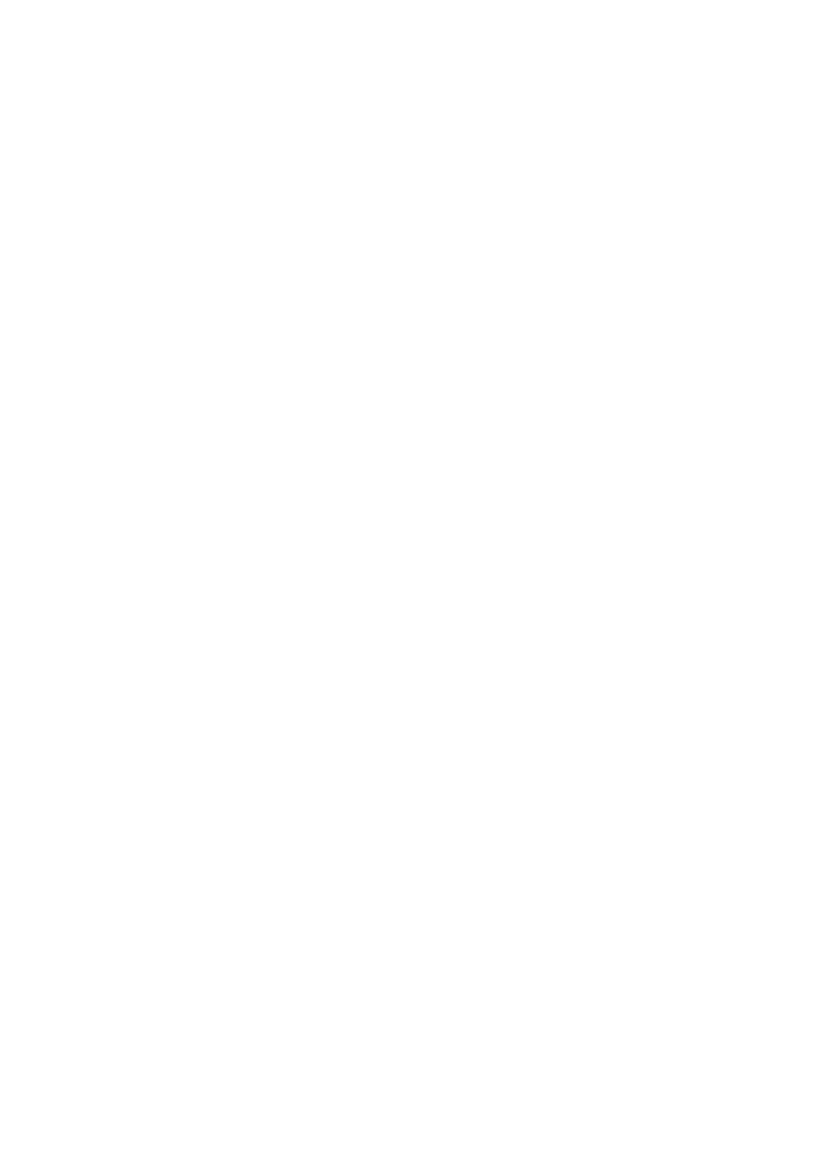| ---- |  |
|------|--|
|      |  |
|      |  |
|      |  |
|      |  |
|      |  |
|      |  |
|      |  |
|      |  |
|      |  |
|      |  |
|      |  |
|      |  |
|      |  |
|      |  |
|      |  |
|      |  |
|      |  |
|      |  |
|      |  |
|      |  |
|      |  |
|      |  |
|      |  |
|      |  |
|      |  |
|      |  |
|      |  |
|      |  |
|      |  |
|      |  |
|      |  |
|      |  |
|      |  |
|      |  |
|      |  |
|      |  |
|      |  |
|      |  |
|      |  |
|      |  |
|      |  |
|      |  |
|      |  |
|      |  |
|      |  |
|      |  |
|      |  |
|      |  |
|      |  |
|      |  |
|      |  |
|      |  |
|      |  |
|      |  |
|      |  |
|      |  |
|      |  |
|      |  |

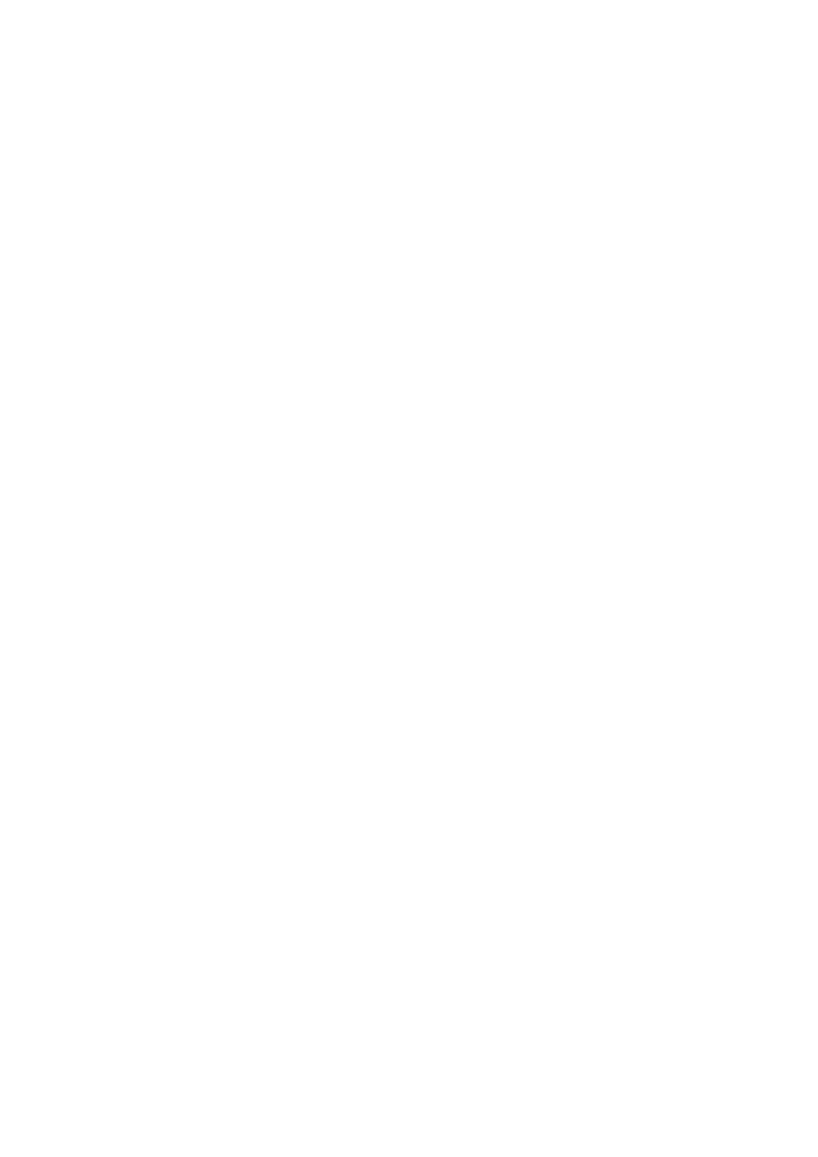| ---- |  |
|------|--|
|      |  |
|      |  |
|      |  |
|      |  |
|      |  |
|      |  |
|      |  |
|      |  |
|      |  |
|      |  |
|      |  |
|      |  |
|      |  |
|      |  |
|      |  |
|      |  |
|      |  |
|      |  |
|      |  |
|      |  |
|      |  |
|      |  |
|      |  |
|      |  |
|      |  |
|      |  |
|      |  |
|      |  |
|      |  |
|      |  |
|      |  |
|      |  |
|      |  |
|      |  |
|      |  |
|      |  |
|      |  |
|      |  |
|      |  |
|      |  |
|      |  |
|      |  |
|      |  |
|      |  |
|      |  |
|      |  |
|      |  |
|      |  |
|      |  |
|      |  |
|      |  |
|      |  |
|      |  |
|      |  |
|      |  |
|      |  |
|      |  |
|      |  |